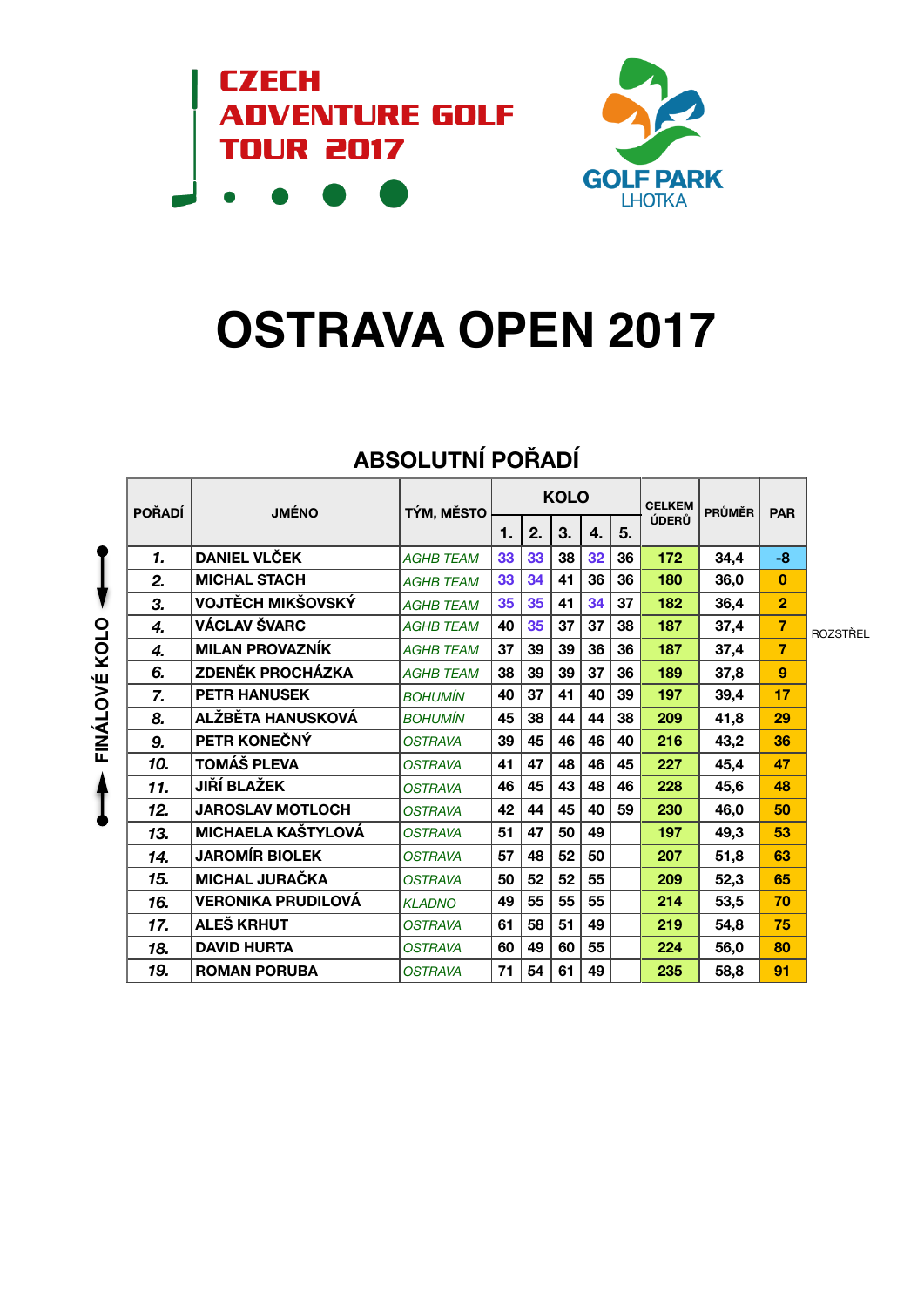



# **OSTRAVA OPEN 2017**

|            | <b>POŘADÍ</b> | <b>JMÉNO</b>              | TÝM, MĚSTO       | <b>KOLO</b> |    |    |    |    | <b>CELKEM</b> | <b>PRŮMĚR</b> | <b>PAR</b>     |                 |  |
|------------|---------------|---------------------------|------------------|-------------|----|----|----|----|---------------|---------------|----------------|-----------------|--|
|            |               |                           |                  | 1.          | 2. | 3. | 4. | 5. | ÚDERŮ         |               |                |                 |  |
|            | 1.            | <b>DANIEL VLČEK</b>       | <b>AGHB TEAM</b> | 33          | 33 | 38 | 32 | 36 | 172           | 34,4          | -8             |                 |  |
|            | 2.            | <b>MICHAL STACH</b>       | <b>AGHB TEAM</b> | 33          | 34 | 41 | 36 | 36 | 180           | 36,0          | 0              |                 |  |
|            | 3.            | VOJTĚCH MIKŠOVSKÝ         | <b>AGHB TEAM</b> | 35          | 35 | 41 | 34 | 37 | 182           | 36,4          | $\overline{2}$ |                 |  |
| $\circ$    | 4.            | VÁCLAV ŠVARC              | <b>AGHB TEAM</b> | 40          | 35 | 37 | 37 | 38 | 187           | 37,4          | $\overline{7}$ | <b>ROZSTŘEL</b> |  |
| <b>KOL</b> | 4.            | <b>MILAN PROVAZNÍK</b>    | <b>AGHB TEAM</b> | 37          | 39 | 39 | 36 | 36 | 187           | 37,4          | $\overline{7}$ |                 |  |
|            | 6.            | <b>ZDENĚK PROCHÁZKA</b>   | <b>AGHB TEAM</b> | 38          | 39 | 39 | 37 | 36 | 189           | 37,8          | 9              |                 |  |
| FINÁLOVÉ   | 7.            | <b>PETR HANUSEK</b>       | <b>BOHUMÍN</b>   | 40          | 37 | 41 | 40 | 39 | 197           | 39,4          | 17             |                 |  |
|            | 8.            | ALŽBĚTA HANUSKOVÁ         | <b>BOHUMÍN</b>   | 45          | 38 | 44 | 44 | 38 | 209           | 41,8          | 29             |                 |  |
|            | 9.            | PETR KONEČNÝ              | <b>OSTRAVA</b>   | 39          | 45 | 46 | 46 | 40 | 216           | 43,2          | 36             |                 |  |
|            | 10.           | TOMÁŠ PLEVA               | <b>OSTRAVA</b>   | 41          | 47 | 48 | 46 | 45 | 227           | 45,4          | 47             |                 |  |
|            | 11.           | JIŘÍ BLAŽEK               | <b>OSTRAVA</b>   | 46          | 45 | 43 | 48 | 46 | 228           | 45,6          | 48             |                 |  |
|            | 12.           | <b>JAROSLAV MOTLOCH</b>   | <b>OSTRAVA</b>   | 42          | 44 | 45 | 40 | 59 | 230           | 46,0          | 50             |                 |  |
|            | 13.           | <b>MICHAELA KAŠTYLOVÁ</b> | <b>OSTRAVA</b>   | 51          | 47 | 50 | 49 |    | 197           | 49,3          | 53             |                 |  |
|            | 14.           | <b>JAROMÍR BIOLEK</b>     | <b>OSTRAVA</b>   | 57          | 48 | 52 | 50 |    | 207           | 51,8          | 63             |                 |  |
|            | 15.           | <b>MICHAL JURAČKA</b>     | <b>OSTRAVA</b>   | 50          | 52 | 52 | 55 |    | 209           | 52,3          | 65             |                 |  |
|            | 16.           | <b>VERONIKA PRUDILOVÁ</b> | <b>KLADNO</b>    | 49          | 55 | 55 | 55 |    | 214           | 53,5          | 70             |                 |  |
|            | 17.           | ALEŠ KRHUT                | <b>OSTRAVA</b>   | 61          | 58 | 51 | 49 |    | 219           | 54,8          | 75             |                 |  |
|            | 18.           | <b>DAVID HURTA</b>        | <b>OSTRAVA</b>   | 60          | 49 | 60 | 55 |    | 224           | 56,0          | 80             |                 |  |
|            | 19.           | <b>ROMAN PORUBA</b>       | <b>OSTRAVA</b>   | 71          | 54 | 61 | 49 |    | 235           | 58,8          | 91             |                 |  |

## **ABSOLUTNÍ POŘADÍ**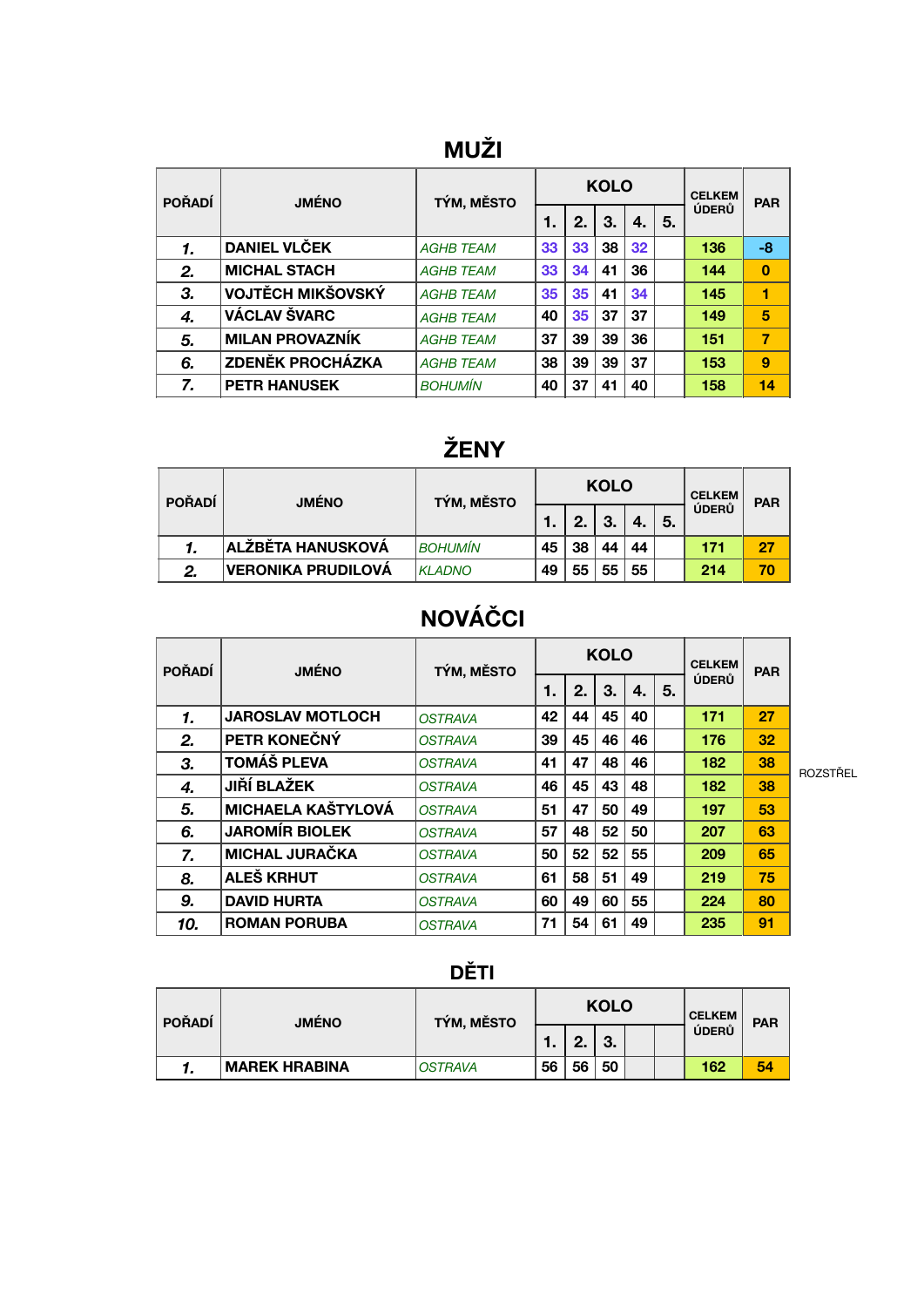#### **MUŽI**

| <b>POŘADÍ</b> | <b>JMÉNO</b>            | TÝM, MĚSTO       |    |    | <b>KOLO</b> |    | <b>CELKEM</b> | <b>PAR</b> |                |
|---------------|-------------------------|------------------|----|----|-------------|----|---------------|------------|----------------|
|               |                         |                  | 1. | 2. | З.          | 4. | 5.            | ÚDERŮ      |                |
|               | <b>DANIEL VLČEK</b>     | <b>AGHB TEAM</b> | 33 | 33 | 38          | 32 |               | 136        | -8             |
| 2.            | <b>MICHAL STACH</b>     | <b>AGHB TEAM</b> | 33 | 34 | 41          | 36 |               | 144        | $\mathbf 0$    |
| 3.            | VOJTĚCH MIKŠOVSKÝ       | <b>AGHB TEAM</b> | 35 | 35 | 41          | 34 |               | 145        | 1              |
| 4.            | VÁCLAV ŠVARC            | <b>AGHB TEAM</b> | 40 | 35 | 37          | 37 |               | 149        | 5              |
| 5.            | <b>MILAN PROVAZNÍK</b>  | <b>AGHB TEAM</b> | 37 | 39 | 39          | 36 |               | 151        | $\overline{7}$ |
| 6.            | <b>ZDENĚK PROCHÁZKA</b> | <b>AGHB TEAM</b> | 38 | 39 | 39          | 37 |               | 153        | 9              |
| 7.            | <b>PETR HANUSEK</b>     | <b>BOHUMÍN</b>   | 40 | 37 | 41          | 40 |               | 158        | 14             |

#### **ŽENY**

| <b>POŘADÍ</b> | <b>JMÉNO</b>             | TÝM, MĚSTO    |    |    | <b>KOLO</b> | <b>CELKEM</b> | <b>PAR</b> |       |    |
|---------------|--------------------------|---------------|----|----|-------------|---------------|------------|-------|----|
|               |                          |               | 1. | 2. | 3.          | 4.            | 5.         | ÚDERŮ |    |
|               | <b>ALŽBĚTA HANUSKOVÁ</b> | BOHUMÍN       | 45 | 38 | 44          | 44            |            | 171   | 27 |
| 2.            | VERONIKA PRUDILOVÁ       | <b>KLADNO</b> | 49 | 55 | 55          | 55            |            | 214   | 70 |

### **NOVÁČCI**

| <b>POŘADÍ</b> | <b>JMÉNO</b>              | TÝM, MĚSTO     |    |    | <b>KOLO</b> | <b>CELKEM</b> | <b>PAR</b> |       |    |
|---------------|---------------------------|----------------|----|----|-------------|---------------|------------|-------|----|
|               |                           |                | 1. | 2. | 3.          | 4.            | 5.         | ÚDERŮ |    |
| 1.            | <b>JAROSLAV MOTLOCH</b>   | <b>OSTRAVA</b> | 42 | 44 | 45          | 40            |            | 171   | 27 |
| 2.            | PETR KONEČNÝ              | <b>OSTRAVA</b> | 39 | 45 | 46          | 46            |            | 176   | 32 |
| 3.            | <b>TOMÁŠ PLEVA</b>        | <b>OSTRAVA</b> | 41 | 47 | 48          | 46            |            | 182   | 38 |
| 4.            | <b>JIŘÍ BLAŽEK</b>        | <b>OSTRAVA</b> | 46 | 45 | 43          | 48            |            | 182   | 38 |
| 5.            | <b>MICHAELA KAŠTYLOVÁ</b> | <b>OSTRAVA</b> | 51 | 47 | 50          | 49            |            | 197   | 53 |
| 6.            | <b>JAROMÍR BIOLEK</b>     | <b>OSTRAVA</b> | 57 | 48 | 52          | 50            |            | 207   | 63 |
| 7.            | <b>MICHAL JURAČKA</b>     | <b>OSTRAVA</b> | 50 | 52 | 52          | 55            |            | 209   | 65 |
| 8.            | ALEŠ KRHUT                | <b>OSTRAVA</b> | 61 | 58 | 51          | 49            |            | 219   | 75 |
| 9.            | <b>DAVID HURTA</b>        | <b>OSTRAVA</b> | 60 | 49 | 60          | 55            |            | 224   | 80 |
| 10.           | <b>ROMAN PORUBA</b>       | <b>OSTRAVA</b> | 71 | 54 | 61          | 49            |            | 235   | 91 |

ROZSTŘEL

#### **DĚTI**

| <b>POŘADÍ</b> | <b>JMÉNO</b>         | TÝM, MĚSTO     |     |              | <b>KOLO</b> | <b>CELKEM</b> | <b>PAR</b> |    |
|---------------|----------------------|----------------|-----|--------------|-------------|---------------|------------|----|
|               |                      |                | . . | C<br><u></u> | 3.          |               | ÚDERŮ      |    |
|               | <b>MAREK HRABINA</b> | <b>OSTRAVA</b> | 56  | 56           | 50          |               | 162        | 54 |